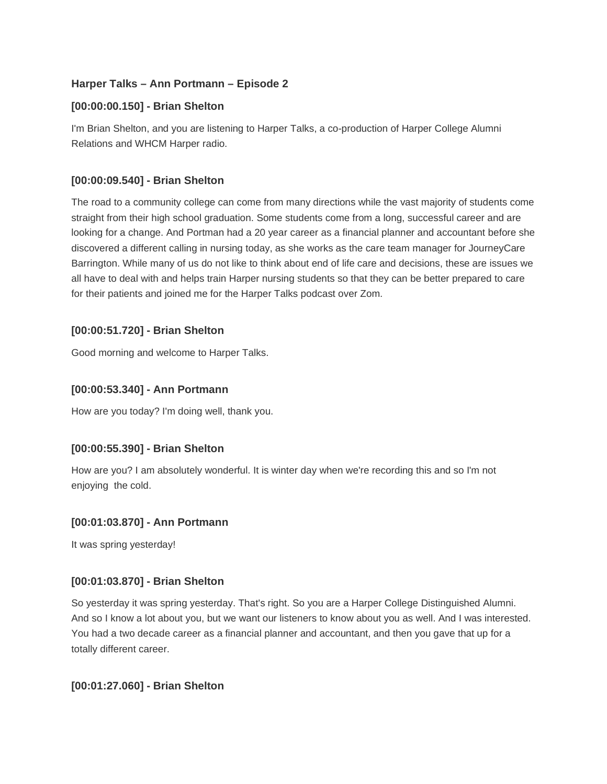# **Harper Talks – Ann Portmann – Episode 2**

# **[00:00:00.150] - Brian Shelton**

I'm Brian Shelton, and you are listening to Harper Talks, a co-production of Harper College Alumni Relations and WHCM Harper radio.

# **[00:00:09.540] - Brian Shelton**

The road to a community college can come from many directions while the vast majority of students come straight from their high school graduation. Some students come from a long, successful career and are looking for a change. And Portman had a 20 year career as a financial planner and accountant before she discovered a different calling in nursing today, as she works as the care team manager for JourneyCare Barrington. While many of us do not like to think about end of life care and decisions, these are issues we all have to deal with and helps train Harper nursing students so that they can be better prepared to care for their patients and joined me for the Harper Talks podcast over Zom.

# **[00:00:51.720] - Brian Shelton**

Good morning and welcome to Harper Talks.

# **[00:00:53.340] - Ann Portmann**

How are you today? I'm doing well, thank you.

## **[00:00:55.390] - Brian Shelton**

How are you? I am absolutely wonderful. It is winter day when we're recording this and so I'm not enjoying the cold.

## **[00:01:03.870] - Ann Portmann**

It was spring yesterday!

## **[00:01:03.870] - Brian Shelton**

So yesterday it was spring yesterday. That's right. So you are a Harper College Distinguished Alumni. And so I know a lot about you, but we want our listeners to know about you as well. And I was interested. You had a two decade career as a financial planner and accountant, and then you gave that up for a totally different career.

## **[00:01:27.060] - Brian Shelton**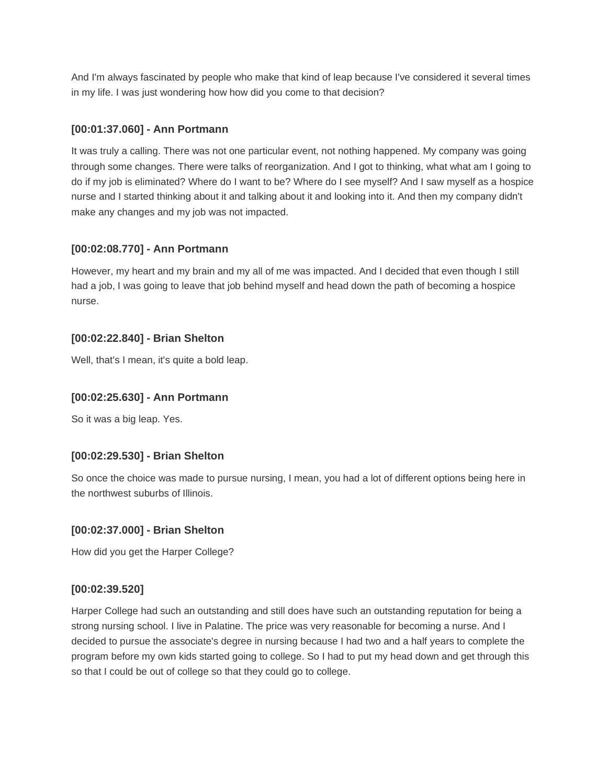And I'm always fascinated by people who make that kind of leap because I've considered it several times in my life. I was just wondering how how did you come to that decision?

## **[00:01:37.060] - Ann Portmann**

It was truly a calling. There was not one particular event, not nothing happened. My company was going through some changes. There were talks of reorganization. And I got to thinking, what what am I going to do if my job is eliminated? Where do I want to be? Where do I see myself? And I saw myself as a hospice nurse and I started thinking about it and talking about it and looking into it. And then my company didn't make any changes and my job was not impacted.

## **[00:02:08.770] - Ann Portmann**

However, my heart and my brain and my all of me was impacted. And I decided that even though I still had a job, I was going to leave that job behind myself and head down the path of becoming a hospice nurse.

### **[00:02:22.840] - Brian Shelton**

Well, that's I mean, it's quite a bold leap.

#### **[00:02:25.630] - Ann Portmann**

So it was a big leap. Yes.

#### **[00:02:29.530] - Brian Shelton**

So once the choice was made to pursue nursing, I mean, you had a lot of different options being here in the northwest suburbs of Illinois.

#### **[00:02:37.000] - Brian Shelton**

How did you get the Harper College?

#### **[00:02:39.520]**

Harper College had such an outstanding and still does have such an outstanding reputation for being a strong nursing school. I live in Palatine. The price was very reasonable for becoming a nurse. And I decided to pursue the associate's degree in nursing because I had two and a half years to complete the program before my own kids started going to college. So I had to put my head down and get through this so that I could be out of college so that they could go to college.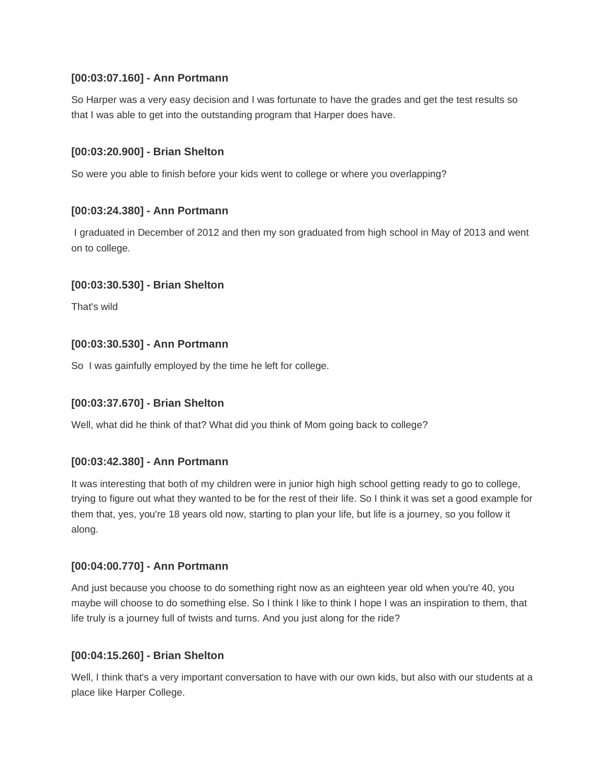## **[00:03:07.160] - Ann Portmann**

So Harper was a very easy decision and I was fortunate to have the grades and get the test results so that I was able to get into the outstanding program that Harper does have.

### **[00:03:20.900] - Brian Shelton**

So were you able to finish before your kids went to college or where you overlapping?

### **[00:03:24.380] - Ann Portmann**

I graduated in December of 2012 and then my son graduated from high school in May of 2013 and went on to college.

#### **[00:03:30.530] - Brian Shelton**

That's wild

### **[00:03:30.530] - Ann Portmann**

So I was gainfully employed by the time he left for college.

#### **[00:03:37.670] - Brian Shelton**

Well, what did he think of that? What did you think of Mom going back to college?

#### **[00:03:42.380] - Ann Portmann**

It was interesting that both of my children were in junior high high school getting ready to go to college, trying to figure out what they wanted to be for the rest of their life. So I think it was set a good example for them that, yes, you're 18 years old now, starting to plan your life, but life is a journey, so you follow it along.

#### **[00:04:00.770] - Ann Portmann**

And just because you choose to do something right now as an eighteen year old when you're 40, you maybe will choose to do something else. So I think I like to think I hope I was an inspiration to them, that life truly is a journey full of twists and turns. And you just along for the ride?

#### **[00:04:15.260] - Brian Shelton**

Well, I think that's a very important conversation to have with our own kids, but also with our students at a place like Harper College.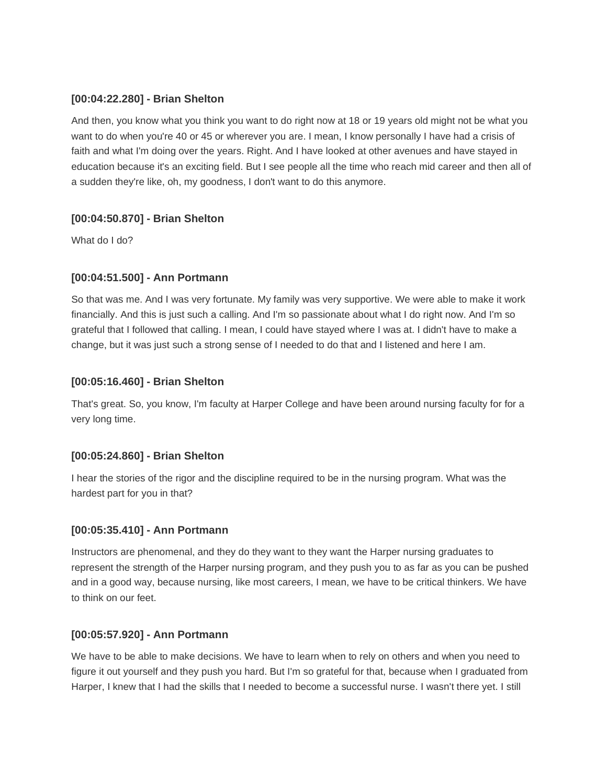### **[00:04:22.280] - Brian Shelton**

And then, you know what you think you want to do right now at 18 or 19 years old might not be what you want to do when you're 40 or 45 or wherever you are. I mean, I know personally I have had a crisis of faith and what I'm doing over the years. Right. And I have looked at other avenues and have stayed in education because it's an exciting field. But I see people all the time who reach mid career and then all of a sudden they're like, oh, my goodness, I don't want to do this anymore.

## **[00:04:50.870] - Brian Shelton**

What do I do?

### **[00:04:51.500] - Ann Portmann**

So that was me. And I was very fortunate. My family was very supportive. We were able to make it work financially. And this is just such a calling. And I'm so passionate about what I do right now. And I'm so grateful that I followed that calling. I mean, I could have stayed where I was at. I didn't have to make a change, but it was just such a strong sense of I needed to do that and I listened and here I am.

#### **[00:05:16.460] - Brian Shelton**

That's great. So, you know, I'm faculty at Harper College and have been around nursing faculty for for a very long time.

#### **[00:05:24.860] - Brian Shelton**

I hear the stories of the rigor and the discipline required to be in the nursing program. What was the hardest part for you in that?

#### **[00:05:35.410] - Ann Portmann**

Instructors are phenomenal, and they do they want to they want the Harper nursing graduates to represent the strength of the Harper nursing program, and they push you to as far as you can be pushed and in a good way, because nursing, like most careers, I mean, we have to be critical thinkers. We have to think on our feet.

#### **[00:05:57.920] - Ann Portmann**

We have to be able to make decisions. We have to learn when to rely on others and when you need to figure it out yourself and they push you hard. But I'm so grateful for that, because when I graduated from Harper, I knew that I had the skills that I needed to become a successful nurse. I wasn't there yet. I still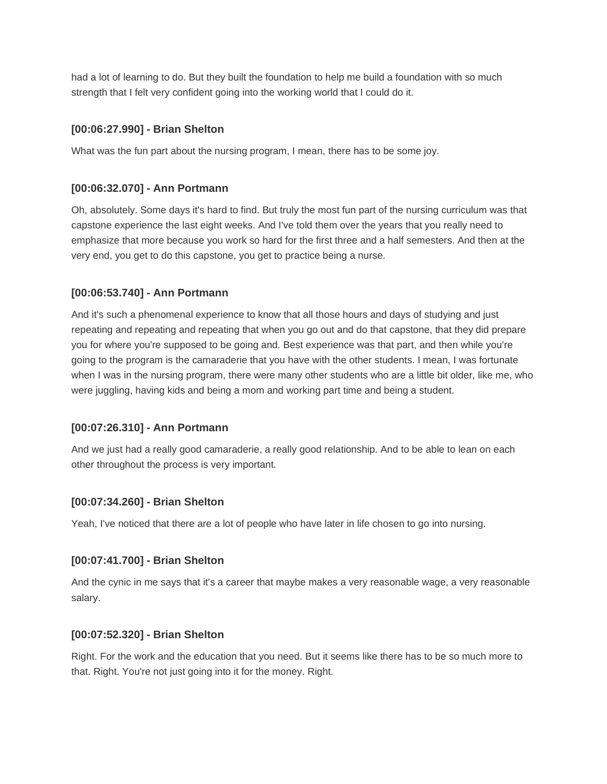had a lot of learning to do. But they built the foundation to help me build a foundation with so much strength that I felt very confident going into the working world that I could do it.

### **[00:06:27.990] - Brian Shelton**

What was the fun part about the nursing program, I mean, there has to be some joy.

### **[00:06:32.070] - Ann Portmann**

Oh, absolutely. Some days it's hard to find. But truly the most fun part of the nursing curriculum was that capstone experience the last eight weeks. And I've told them over the years that you really need to emphasize that more because you work so hard for the first three and a half semesters. And then at the very end, you get to do this capstone, you get to practice being a nurse.

### **[00:06:53.740] - Ann Portmann**

And it's such a phenomenal experience to know that all those hours and days of studying and just repeating and repeating and repeating that when you go out and do that capstone, that they did prepare you for where you're supposed to be going and. Best experience was that part, and then while you're going to the program is the camaraderie that you have with the other students. I mean, I was fortunate when I was in the nursing program, there were many other students who are a little bit older, like me, who were juggling, having kids and being a mom and working part time and being a student.

#### **[00:07:26.310] - Ann Portmann**

And we just had a really good camaraderie, a really good relationship. And to be able to lean on each other throughout the process is very important.

#### **[00:07:34.260] - Brian Shelton**

Yeah, I've noticed that there are a lot of people who have later in life chosen to go into nursing.

#### **[00:07:41.700] - Brian Shelton**

And the cynic in me says that it's a career that maybe makes a very reasonable wage, a very reasonable salary.

#### **[00:07:52.320] - Brian Shelton**

Right. For the work and the education that you need. But it seems like there has to be so much more to that. Right. You're not just going into it for the money. Right.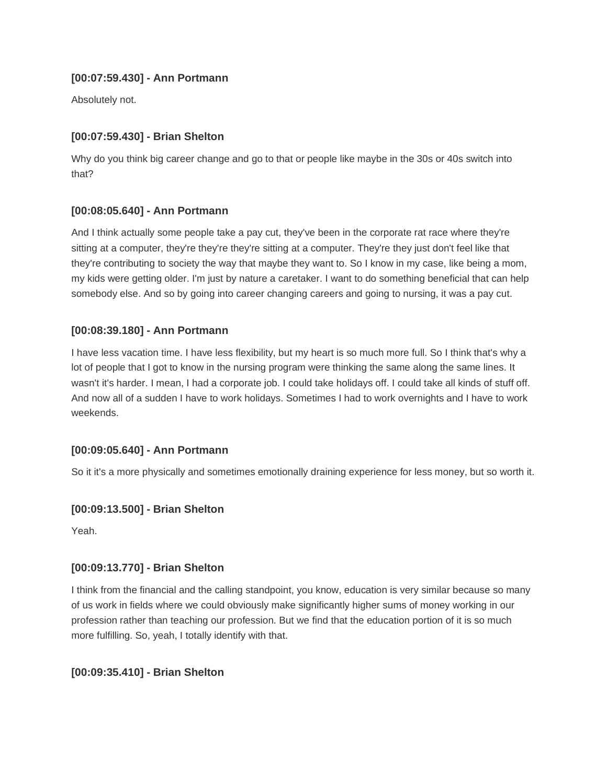# **[00:07:59.430] - Ann Portmann**

Absolutely not.

# **[00:07:59.430] - Brian Shelton**

Why do you think big career change and go to that or people like maybe in the 30s or 40s switch into that?

## **[00:08:05.640] - Ann Portmann**

And I think actually some people take a pay cut, they've been in the corporate rat race where they're sitting at a computer, they're they're they're sitting at a computer. They're they just don't feel like that they're contributing to society the way that maybe they want to. So I know in my case, like being a mom, my kids were getting older. I'm just by nature a caretaker. I want to do something beneficial that can help somebody else. And so by going into career changing careers and going to nursing, it was a pay cut.

# **[00:08:39.180] - Ann Portmann**

I have less vacation time. I have less flexibility, but my heart is so much more full. So I think that's why a lot of people that I got to know in the nursing program were thinking the same along the same lines. It wasn't it's harder. I mean, I had a corporate job. I could take holidays off. I could take all kinds of stuff off. And now all of a sudden I have to work holidays. Sometimes I had to work overnights and I have to work weekends.

## **[00:09:05.640] - Ann Portmann**

So it it's a more physically and sometimes emotionally draining experience for less money, but so worth it.

## **[00:09:13.500] - Brian Shelton**

Yeah.

## **[00:09:13.770] - Brian Shelton**

I think from the financial and the calling standpoint, you know, education is very similar because so many of us work in fields where we could obviously make significantly higher sums of money working in our profession rather than teaching our profession. But we find that the education portion of it is so much more fulfilling. So, yeah, I totally identify with that.

## **[00:09:35.410] - Brian Shelton**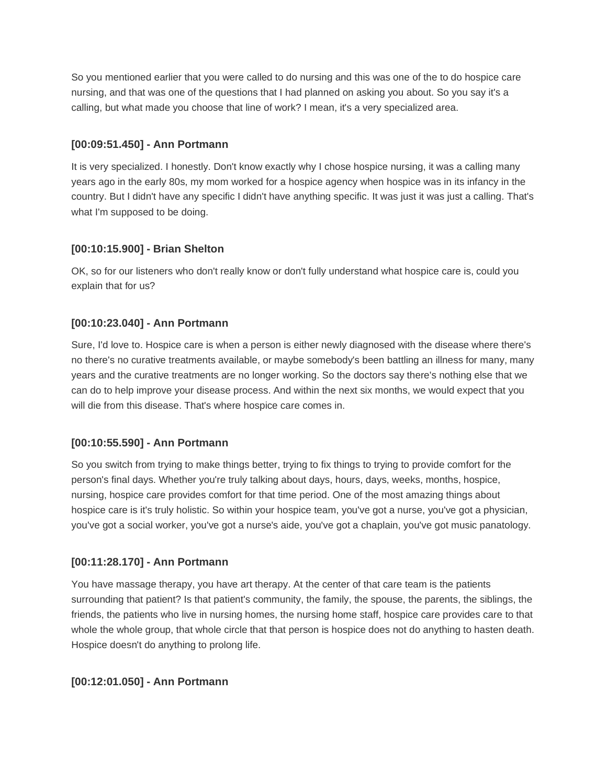So you mentioned earlier that you were called to do nursing and this was one of the to do hospice care nursing, and that was one of the questions that I had planned on asking you about. So you say it's a calling, but what made you choose that line of work? I mean, it's a very specialized area.

# **[00:09:51.450] - Ann Portmann**

It is very specialized. I honestly. Don't know exactly why I chose hospice nursing, it was a calling many years ago in the early 80s, my mom worked for a hospice agency when hospice was in its infancy in the country. But I didn't have any specific I didn't have anything specific. It was just it was just a calling. That's what I'm supposed to be doing.

## **[00:10:15.900] - Brian Shelton**

OK, so for our listeners who don't really know or don't fully understand what hospice care is, could you explain that for us?

# **[00:10:23.040] - Ann Portmann**

Sure, I'd love to. Hospice care is when a person is either newly diagnosed with the disease where there's no there's no curative treatments available, or maybe somebody's been battling an illness for many, many years and the curative treatments are no longer working. So the doctors say there's nothing else that we can do to help improve your disease process. And within the next six months, we would expect that you will die from this disease. That's where hospice care comes in.

## **[00:10:55.590] - Ann Portmann**

So you switch from trying to make things better, trying to fix things to trying to provide comfort for the person's final days. Whether you're truly talking about days, hours, days, weeks, months, hospice, nursing, hospice care provides comfort for that time period. One of the most amazing things about hospice care is it's truly holistic. So within your hospice team, you've got a nurse, you've got a physician, you've got a social worker, you've got a nurse's aide, you've got a chaplain, you've got music panatology.

## **[00:11:28.170] - Ann Portmann**

You have massage therapy, you have art therapy. At the center of that care team is the patients surrounding that patient? Is that patient's community, the family, the spouse, the parents, the siblings, the friends, the patients who live in nursing homes, the nursing home staff, hospice care provides care to that whole the whole group, that whole circle that that person is hospice does not do anything to hasten death. Hospice doesn't do anything to prolong life.

## **[00:12:01.050] - Ann Portmann**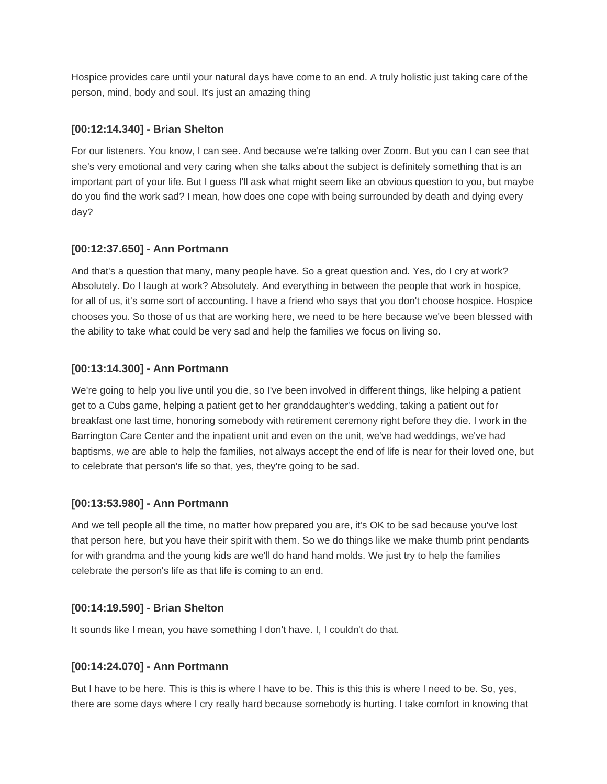Hospice provides care until your natural days have come to an end. A truly holistic just taking care of the person, mind, body and soul. It's just an amazing thing

### **[00:12:14.340] - Brian Shelton**

For our listeners. You know, I can see. And because we're talking over Zoom. But you can I can see that she's very emotional and very caring when she talks about the subject is definitely something that is an important part of your life. But I guess I'll ask what might seem like an obvious question to you, but maybe do you find the work sad? I mean, how does one cope with being surrounded by death and dying every day?

### **[00:12:37.650] - Ann Portmann**

And that's a question that many, many people have. So a great question and. Yes, do I cry at work? Absolutely. Do I laugh at work? Absolutely. And everything in between the people that work in hospice, for all of us, it's some sort of accounting. I have a friend who says that you don't choose hospice. Hospice chooses you. So those of us that are working here, we need to be here because we've been blessed with the ability to take what could be very sad and help the families we focus on living so.

### **[00:13:14.300] - Ann Portmann**

We're going to help you live until you die, so I've been involved in different things, like helping a patient get to a Cubs game, helping a patient get to her granddaughter's wedding, taking a patient out for breakfast one last time, honoring somebody with retirement ceremony right before they die. I work in the Barrington Care Center and the inpatient unit and even on the unit, we've had weddings, we've had baptisms, we are able to help the families, not always accept the end of life is near for their loved one, but to celebrate that person's life so that, yes, they're going to be sad.

## **[00:13:53.980] - Ann Portmann**

And we tell people all the time, no matter how prepared you are, it's OK to be sad because you've lost that person here, but you have their spirit with them. So we do things like we make thumb print pendants for with grandma and the young kids are we'll do hand hand molds. We just try to help the families celebrate the person's life as that life is coming to an end.

## **[00:14:19.590] - Brian Shelton**

It sounds like I mean, you have something I don't have. I, I couldn't do that.

#### **[00:14:24.070] - Ann Portmann**

But I have to be here. This is this is where I have to be. This is this this is where I need to be. So, yes, there are some days where I cry really hard because somebody is hurting. I take comfort in knowing that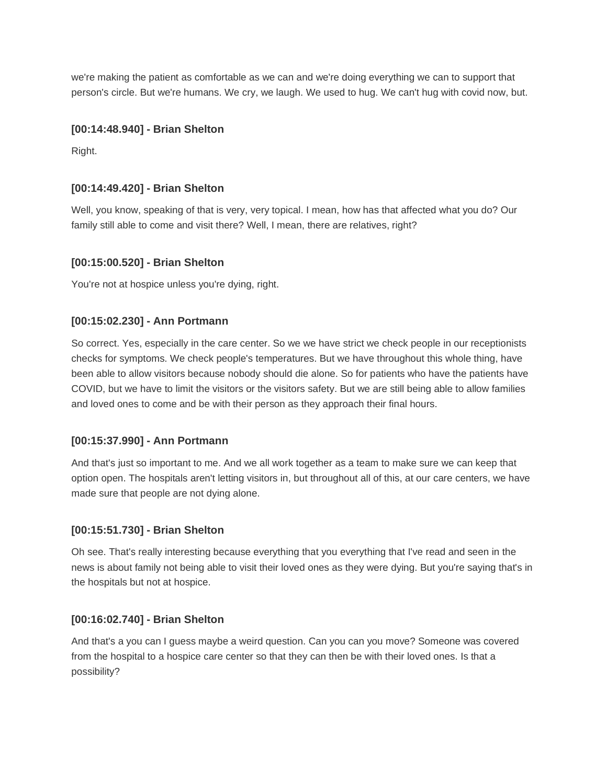we're making the patient as comfortable as we can and we're doing everything we can to support that person's circle. But we're humans. We cry, we laugh. We used to hug. We can't hug with covid now, but.

### **[00:14:48.940] - Brian Shelton**

Right.

### **[00:14:49.420] - Brian Shelton**

Well, you know, speaking of that is very, very topical. I mean, how has that affected what you do? Our family still able to come and visit there? Well, I mean, there are relatives, right?

### **[00:15:00.520] - Brian Shelton**

You're not at hospice unless you're dying, right.

### **[00:15:02.230] - Ann Portmann**

So correct. Yes, especially in the care center. So we we have strict we check people in our receptionists checks for symptoms. We check people's temperatures. But we have throughout this whole thing, have been able to allow visitors because nobody should die alone. So for patients who have the patients have COVID, but we have to limit the visitors or the visitors safety. But we are still being able to allow families and loved ones to come and be with their person as they approach their final hours.

#### **[00:15:37.990] - Ann Portmann**

And that's just so important to me. And we all work together as a team to make sure we can keep that option open. The hospitals aren't letting visitors in, but throughout all of this, at our care centers, we have made sure that people are not dying alone.

#### **[00:15:51.730] - Brian Shelton**

Oh see. That's really interesting because everything that you everything that I've read and seen in the news is about family not being able to visit their loved ones as they were dying. But you're saying that's in the hospitals but not at hospice.

#### **[00:16:02.740] - Brian Shelton**

And that's a you can I guess maybe a weird question. Can you can you move? Someone was covered from the hospital to a hospice care center so that they can then be with their loved ones. Is that a possibility?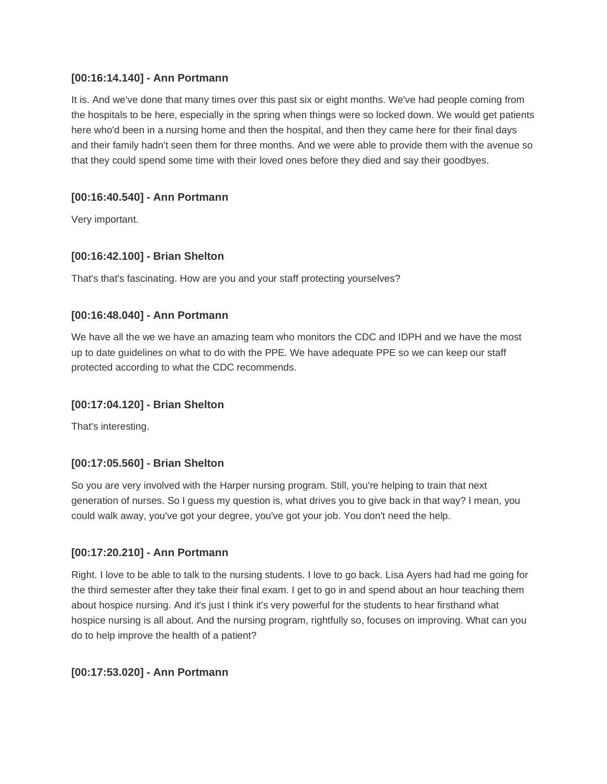### **[00:16:14.140] - Ann Portmann**

It is. And we've done that many times over this past six or eight months. We've had people coming from the hospitals to be here, especially in the spring when things were so locked down. We would get patients here who'd been in a nursing home and then the hospital, and then they came here for their final days and their family hadn't seen them for three months. And we were able to provide them with the avenue so that they could spend some time with their loved ones before they died and say their goodbyes.

## **[00:16:40.540] - Ann Portmann**

Very important.

### **[00:16:42.100] - Brian Shelton**

That's that's fascinating. How are you and your staff protecting yourselves?

### **[00:16:48.040] - Ann Portmann**

We have all the we we have an amazing team who monitors the CDC and IDPH and we have the most up to date guidelines on what to do with the PPE. We have adequate PPE so we can keep our staff protected according to what the CDC recommends.

#### **[00:17:04.120] - Brian Shelton**

That's interesting.

## **[00:17:05.560] - Brian Shelton**

So you are very involved with the Harper nursing program. Still, you're helping to train that next generation of nurses. So I guess my question is, what drives you to give back in that way? I mean, you could walk away, you've got your degree, you've got your job. You don't need the help.

#### **[00:17:20.210] - Ann Portmann**

Right. I love to be able to talk to the nursing students. I love to go back. Lisa Ayers had had me going for the third semester after they take their final exam. I get to go in and spend about an hour teaching them about hospice nursing. And it's just I think it's very powerful for the students to hear firsthand what hospice nursing is all about. And the nursing program, rightfully so, focuses on improving. What can you do to help improve the health of a patient?

#### **[00:17:53.020] - Ann Portmann**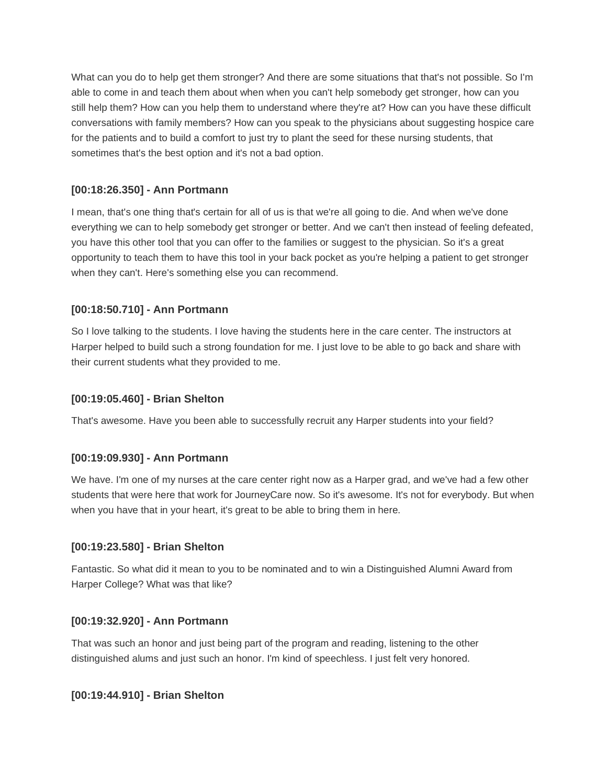What can you do to help get them stronger? And there are some situations that that's not possible. So I'm able to come in and teach them about when when you can't help somebody get stronger, how can you still help them? How can you help them to understand where they're at? How can you have these difficult conversations with family members? How can you speak to the physicians about suggesting hospice care for the patients and to build a comfort to just try to plant the seed for these nursing students, that sometimes that's the best option and it's not a bad option.

# **[00:18:26.350] - Ann Portmann**

I mean, that's one thing that's certain for all of us is that we're all going to die. And when we've done everything we can to help somebody get stronger or better. And we can't then instead of feeling defeated, you have this other tool that you can offer to the families or suggest to the physician. So it's a great opportunity to teach them to have this tool in your back pocket as you're helping a patient to get stronger when they can't. Here's something else you can recommend.

## **[00:18:50.710] - Ann Portmann**

So I love talking to the students. I love having the students here in the care center. The instructors at Harper helped to build such a strong foundation for me. I just love to be able to go back and share with their current students what they provided to me.

## **[00:19:05.460] - Brian Shelton**

That's awesome. Have you been able to successfully recruit any Harper students into your field?

## **[00:19:09.930] - Ann Portmann**

We have. I'm one of my nurses at the care center right now as a Harper grad, and we've had a few other students that were here that work for JourneyCare now. So it's awesome. It's not for everybody. But when when you have that in your heart, it's great to be able to bring them in here.

#### **[00:19:23.580] - Brian Shelton**

Fantastic. So what did it mean to you to be nominated and to win a Distinguished Alumni Award from Harper College? What was that like?

#### **[00:19:32.920] - Ann Portmann**

That was such an honor and just being part of the program and reading, listening to the other distinguished alums and just such an honor. I'm kind of speechless. I just felt very honored.

#### **[00:19:44.910] - Brian Shelton**